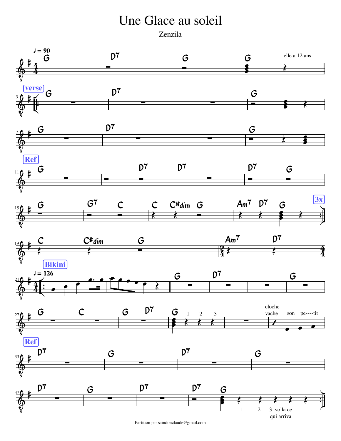## Une Glace au soleil

Zenzila



Partition par saindonclaude@gmail.com